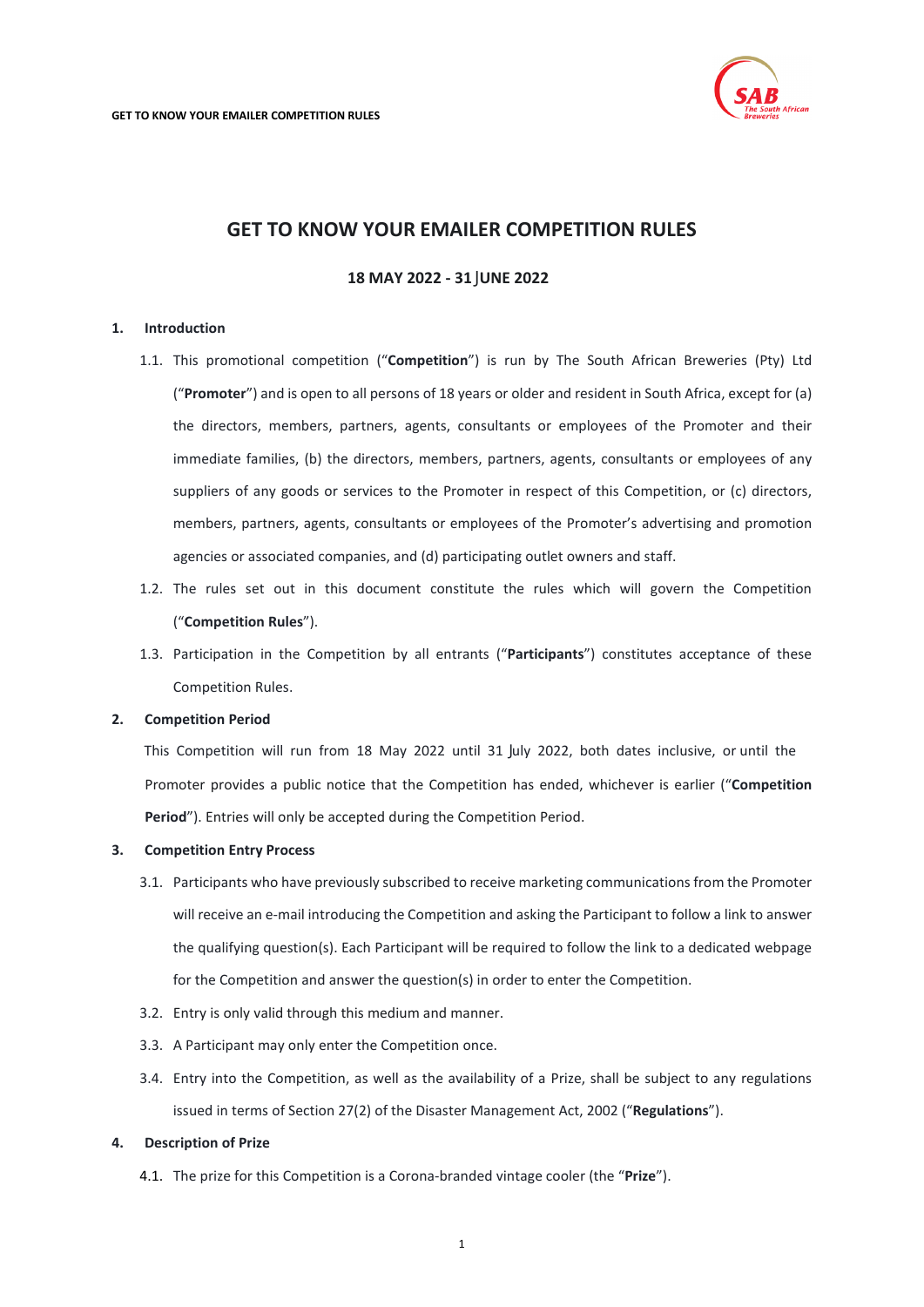

# **GET TO KNOW YOUR EMAILER COMPETITION RULES**

## **18 MAY 2022 - 31** J**UNE 2022**

### <span id="page-0-0"></span>**1. Introduction**

- 1.1. This promotional competition ("**Competition**") is run by The South African Breweries (Pty) Ltd ("**Promoter**") and is open to all persons of 18 years or older and resident in South Africa, except for (a) the directors, members, partners, agents, consultants or employees of the Promoter and their immediate families, (b) the directors, members, partners, agents, consultants or employees of any suppliers of any goods or services to the Promoter in respect of this Competition, or (c) directors, members, partners, agents, consultants or employees of the Promoter's advertising and promotion agencies or associated companies, and (d) participating outlet owners and staff.
- 1.2. The rules set out in this document constitute the rules which will govern the Competition ("**Competition Rules**").
- 1.3. Participation in the Competition by all entrants ("**Participants**") constitutes acceptance of these Competition Rules.

## **2. Competition Period**

Promoter provides a public notice that the Competition has ended, whichever is earlier ("**Competition Period**"). Entries will only be accepted during the Competition Period. This Competition will run from 18 May 2022 until 31 July 2022, both dates inclusive, or until the

#### **3. Competition Entry Process**

- 3.1. Participants who have previously subscribed to receive marketing communications from the Promoter will receive an e-mail introducing the Competition and asking the Participant to follow a link to answer the qualifying question(s). Each Participant will be required to follow the link to a dedicated webpage for the Competition and answer the question(s) in order to enter the Competition.
- 3.2. Entry is only valid through this medium and manner.
- 3.3. A Participant may only enter the Competition once.
- 3.4. Entry into the Competition, as well as the availability of a Prize, shall be subject to any regulations issued in terms of Section 27(2) of the Disaster Management Act, 2002 ("**Regulations**").

## **4. Description of Prize**

4.1. The prize for this Competition is a Corona-branded vintage cooler (the "**Prize**").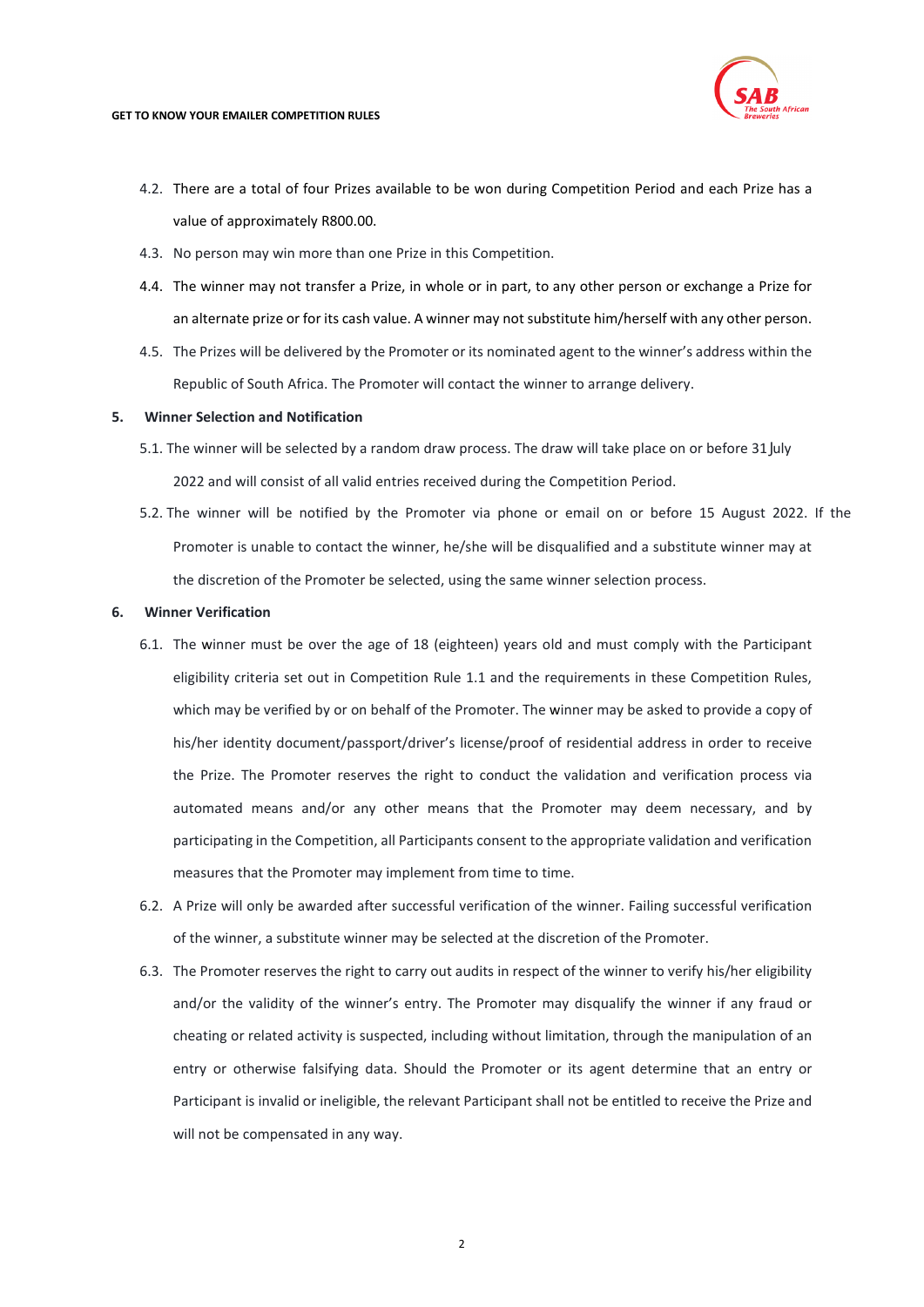

#### **GET TO KNOW YOUR EMAILER COMPETITION RULES**

- 4.2. There are a total of four Prizes available to be won during Competition Period and each Prize has a value of approximately R800.00.
- 4.3. No person may win more than one Prize in this Competition.
- 4.4. The winner may not transfer a Prize, in whole or in part, to any other person or exchange a Prize for an alternate prize or for its cash value. A winner may not substitute him/herself with any other person.
- 4.5. The Prizes will be delivered by the Promoter or its nominated agent to the winner's address within the Republic of South Africa. The Promoter will contact the winner to arrange delivery.

## **5. Winner Selection and Notification**

- 2022 and will consist of all valid entries received during the Competition Period. 5.1. The winner will be selected by a random draw process. The draw will take place on or before 31 July
- Promoter is unable to contact the winner, he/she will be disqualified and a substitute winner may at the discretion of the Promoter be selected, using the same winner selection process. 5.2. The winner will be notified by the Promoter via phone or email on or before 15 August 2022. If the

## **6. Winner Verification**

- 6.1. The winner must be over the age of 18 (eighteen) years old and must comply with the Participant eligibility criteria set out in Competition Rule [1.1](#page-0-0) and the requirements in these Competition Rules, which may be verified by or on behalf of the Promoter. The winner may be asked to provide a copy of his/her identity document/passport/driver's license/proof of residential address in order to receive the Prize. The Promoter reserves the right to conduct the validation and verification process via automated means and/or any other means that the Promoter may deem necessary, and by participating in the Competition, all Participants consent to the appropriate validation and verification measures that the Promoter may implement from time to time.
- 6.2. A Prize will only be awarded after successful verification of the winner. Failing successful verification of the winner, a substitute winner may be selected at the discretion of the Promoter.
- 6.3. The Promoter reserves the right to carry out audits in respect of the winner to verify his/her eligibility and/or the validity of the winner's entry. The Promoter may disqualify the winner if any fraud or cheating or related activity is suspected, including without limitation, through the manipulation of an entry or otherwise falsifying data. Should the Promoter or its agent determine that an entry or Participant is invalid or ineligible, the relevant Participant shall not be entitled to receive the Prize and will not be compensated in any way.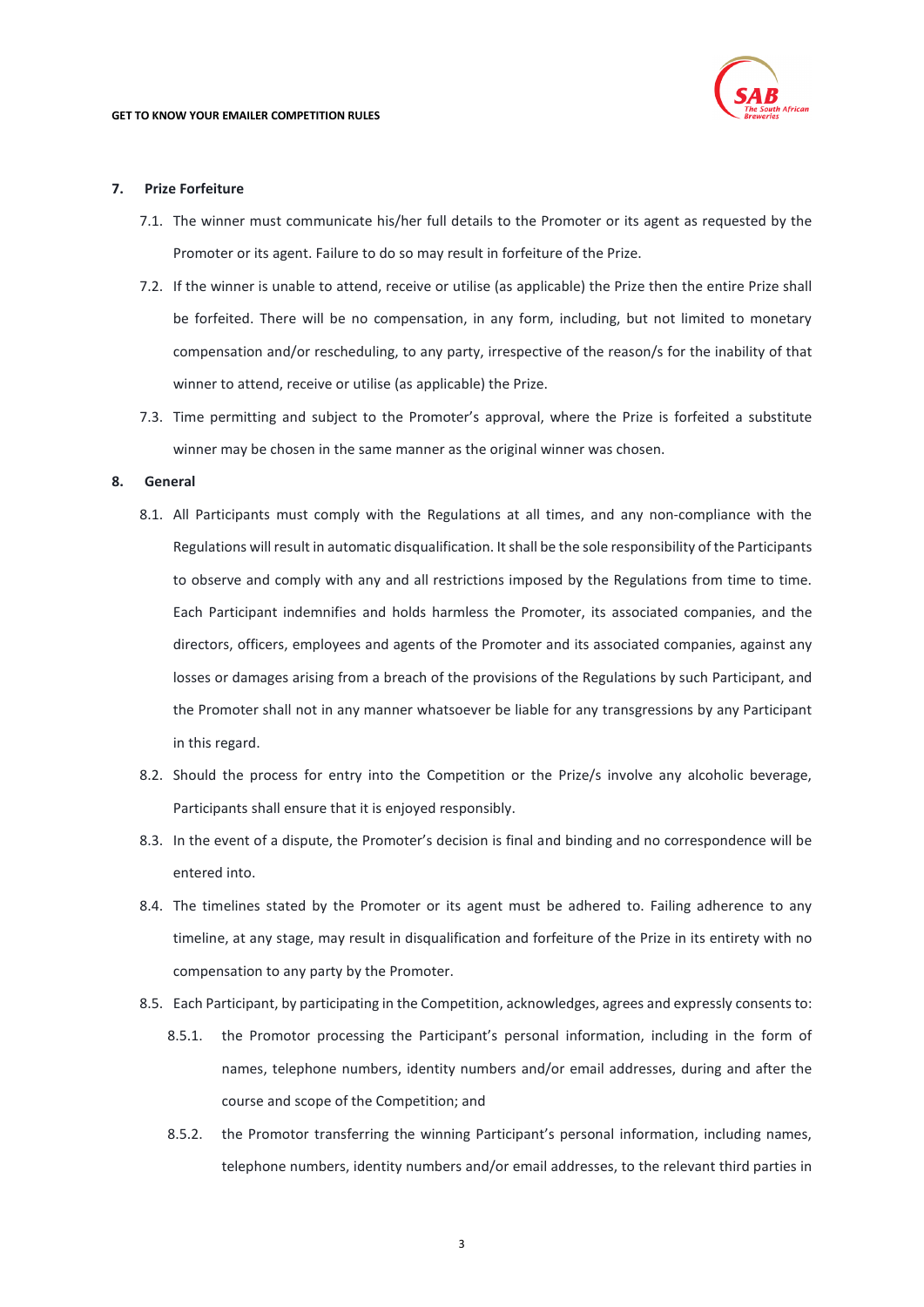

### **7. Prize Forfeiture**

- 7.1. The winner must communicate his/her full details to the Promoter or its agent as requested by the Promoter or its agent. Failure to do so may result in forfeiture of the Prize.
- 7.2. If the winner is unable to attend, receive or utilise (as applicable) the Prize then the entire Prize shall be forfeited. There will be no compensation, in any form, including, but not limited to monetary compensation and/or rescheduling, to any party, irrespective of the reason/s for the inability of that winner to attend, receive or utilise (as applicable) the Prize.
- 7.3. Time permitting and subject to the Promoter's approval, where the Prize is forfeited a substitute winner may be chosen in the same manner as the original winner was chosen.

#### **8. General**

- 8.1. All Participants must comply with the Regulations at all times, and any non-compliance with the Regulations will result in automatic disqualification. It shall be the sole responsibility of the Participants to observe and comply with any and all restrictions imposed by the Regulations from time to time. Each Participant indemnifies and holds harmless the Promoter, its associated companies, and the directors, officers, employees and agents of the Promoter and its associated companies, against any losses or damages arising from a breach of the provisions of the Regulations by such Participant, and the Promoter shall not in any manner whatsoever be liable for any transgressions by any Participant in this regard.
- 8.2. Should the process for entry into the Competition or the Prize/s involve any alcoholic beverage, Participants shall ensure that it is enjoyed responsibly.
- 8.3. In the event of a dispute, the Promoter's decision is final and binding and no correspondence will be entered into.
- 8.4. The timelines stated by the Promoter or its agent must be adhered to. Failing adherence to any timeline, at any stage, may result in disqualification and forfeiture of the Prize in its entirety with no compensation to any party by the Promoter.
- <span id="page-2-0"></span>8.5. Each Participant, by participating in the Competition, acknowledges, agrees and expressly consents to:
	- 8.5.1. the Promotor processing the Participant's personal information, including in the form of names, telephone numbers, identity numbers and/or email addresses, during and after the course and scope of the Competition; and
	- 8.5.2. the Promotor transferring the winning Participant's personal information, including names, telephone numbers, identity numbers and/or email addresses, to the relevant third parties in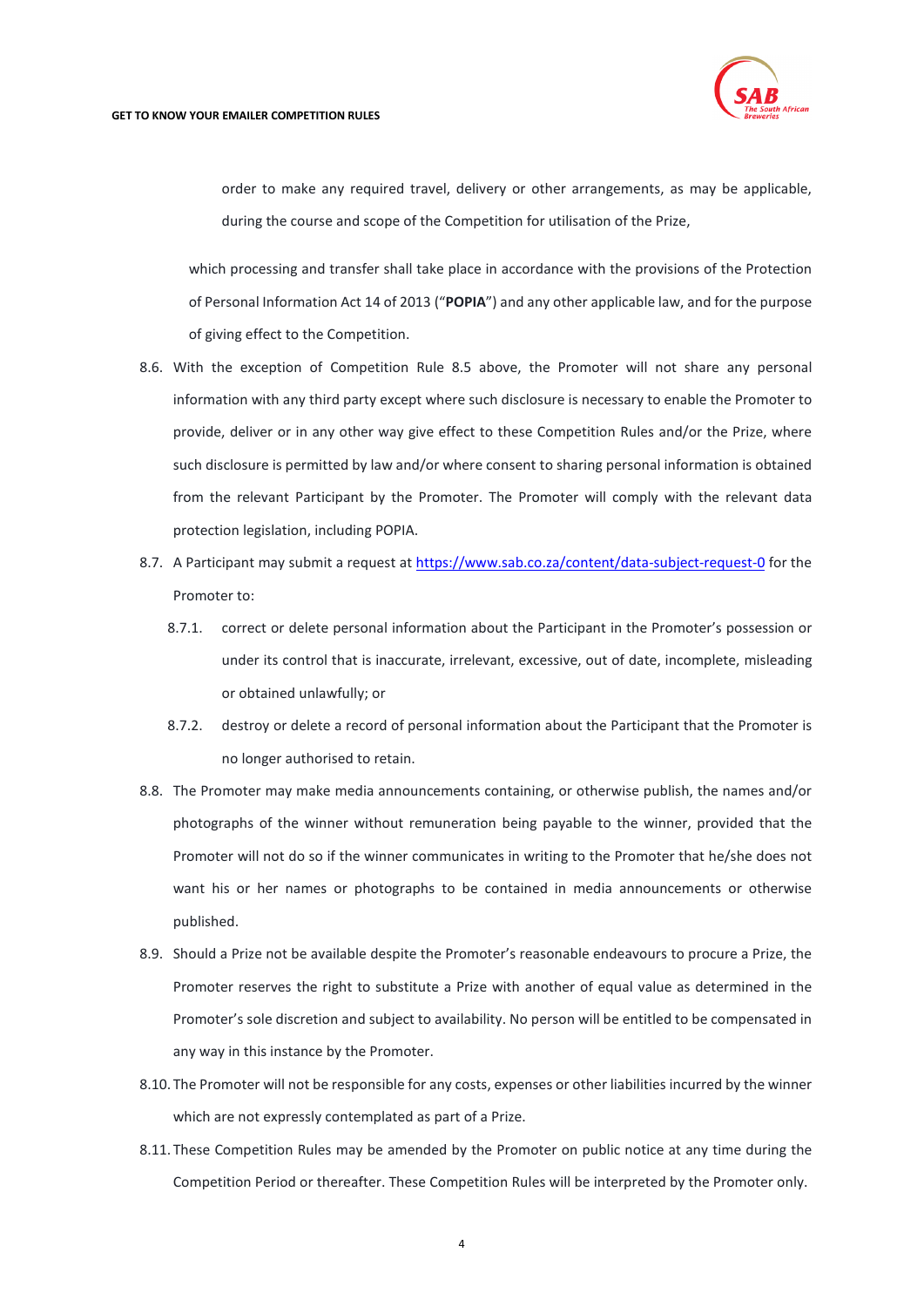

order to make any required travel, delivery or other arrangements, as may be applicable, during the course and scope of the Competition for utilisation of the Prize,

which processing and transfer shall take place in accordance with the provisions of the Protection of Personal Information Act 14 of 2013 ("**POPIA**") and any other applicable law, and for the purpose of giving effect to the Competition.

- 8.6. With the exception of Competition Rule [8.5](#page-2-0) above, the Promoter will not share any personal information with any third party except where such disclosure is necessary to enable the Promoter to provide, deliver or in any other way give effect to these Competition Rules and/or the Prize, where such disclosure is permitted by law and/or where consent to sharing personal information is obtained from the relevant Participant by the Promoter. The Promoter will comply with the relevant data protection legislation, including POPIA.
- 8.7. A Participant may submit a request at<https://www.sab.co.za/content/data-subject-request-0> for the Promoter to:
	- 8.7.1. correct or delete personal information about the Participant in the Promoter's possession or under its control that is inaccurate, irrelevant, excessive, out of date, incomplete, misleading or obtained unlawfully; or
	- 8.7.2. destroy or delete a record of personal information about the Participant that the Promoter is no longer authorised to retain.
- 8.8. The Promoter may make media announcements containing, or otherwise publish, the names and/or photographs of the winner without remuneration being payable to the winner, provided that the Promoter will not do so if the winner communicates in writing to the Promoter that he/she does not want his or her names or photographs to be contained in media announcements or otherwise published.
- 8.9. Should a Prize not be available despite the Promoter's reasonable endeavours to procure a Prize, the Promoter reserves the right to substitute a Prize with another of equal value as determined in the Promoter's sole discretion and subject to availability. No person will be entitled to be compensated in any way in this instance by the Promoter.
- 8.10. The Promoter will not be responsible for any costs, expenses or other liabilities incurred by the winner which are not expressly contemplated as part of a Prize.
- 8.11. These Competition Rules may be amended by the Promoter on public notice at any time during the Competition Period or thereafter. These Competition Rules will be interpreted by the Promoter only.